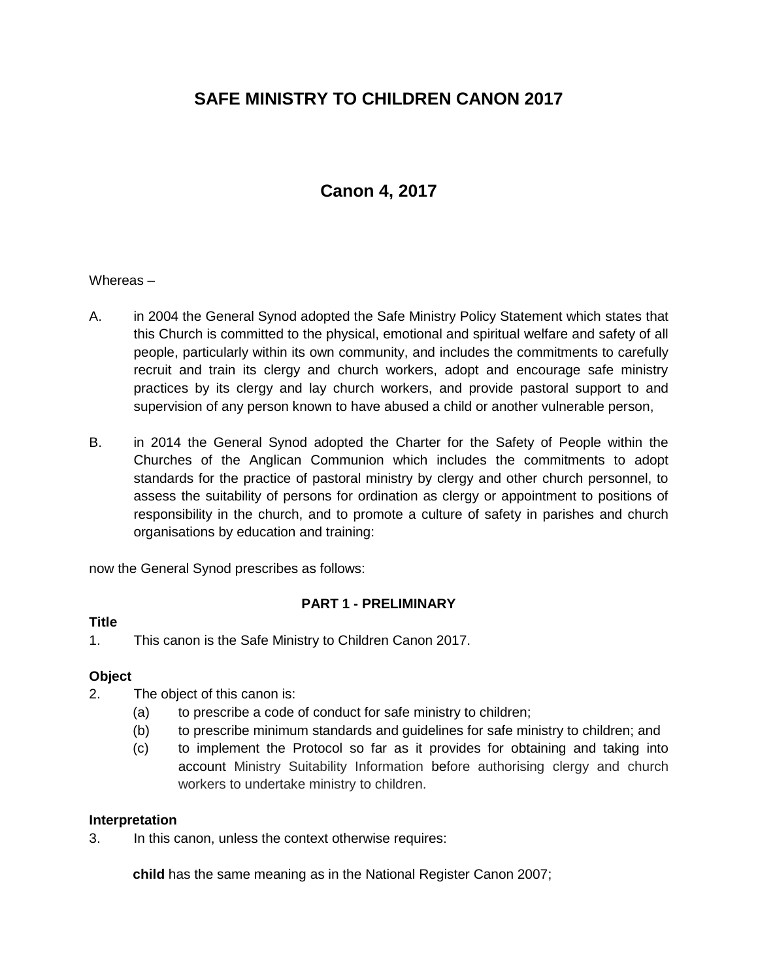# **SAFE MINISTRY TO CHILDREN CANON 2017**

# **Canon 4, 2017**

#### Whereas –

- A. in 2004 the General Synod adopted the Safe Ministry Policy Statement which states that this Church is committed to the physical, emotional and spiritual welfare and safety of all people, particularly within its own community, and includes the commitments to carefully recruit and train its clergy and church workers, adopt and encourage safe ministry practices by its clergy and lay church workers, and provide pastoral support to and supervision of any person known to have abused a child or another vulnerable person,
- B. in 2014 the General Synod adopted the Charter for the Safety of People within the Churches of the Anglican Communion which includes the commitments to adopt standards for the practice of pastoral ministry by clergy and other church personnel, to assess the suitability of persons for ordination as clergy or appointment to positions of responsibility in the church, and to promote a culture of safety in parishes and church organisations by education and training:

now the General Synod prescribes as follows:

### **PART 1 - PRELIMINARY**

#### **Title**

1. This canon is the Safe Ministry to Children Canon 2017.

### **Object**

- 2. The object of this canon is:
	- (a) to prescribe a code of conduct for safe ministry to children;
	- (b) to prescribe minimum standards and guidelines for safe ministry to children; and
	- (c) to implement the Protocol so far as it provides for obtaining and taking into account Ministry Suitability Information before authorising clergy and church workers to undertake ministry to children.

#### **Interpretation**

3. In this canon, unless the context otherwise requires:

**child** has the same meaning as in the National Register Canon 2007;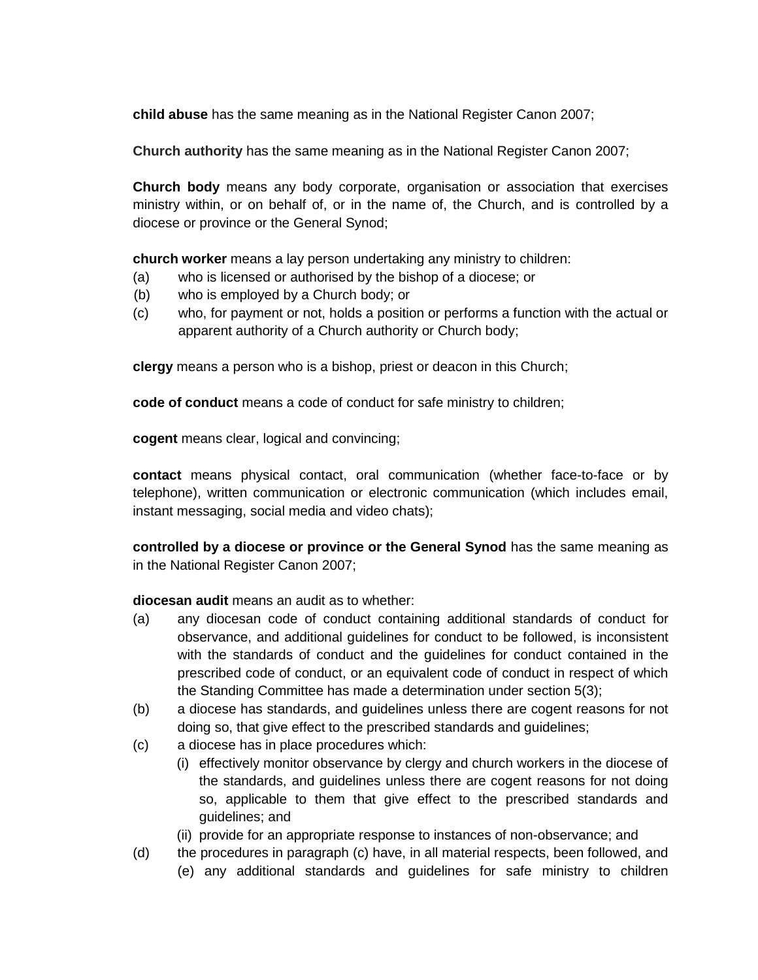**child abuse** has the same meaning as in the National Register Canon 2007;

**Church authority** has the same meaning as in the National Register Canon 2007;

**Church body** means any body corporate, organisation or association that exercises ministry within, or on behalf of, or in the name of, the Church, and is controlled by a diocese or province or the General Synod;

**church worker** means a lay person undertaking any ministry to children:

- (a) who is licensed or authorised by the bishop of a diocese; or
- (b) who is employed by a Church body; or
- (c) who, for payment or not, holds a position or performs a function with the actual or apparent authority of a Church authority or Church body;

**clergy** means a person who is a bishop, priest or deacon in this Church;

**code of conduct** means a code of conduct for safe ministry to children;

**cogent** means clear, logical and convincing;

**contact** means physical contact, oral communication (whether face-to-face or by telephone), written communication or electronic communication (which includes email, instant messaging, social media and video chats);

**controlled by a diocese or province or the General Synod** has the same meaning as in the National Register Canon 2007;

### **diocesan audit** means an audit as to whether:

- (a) any diocesan code of conduct containing additional standards of conduct for observance, and additional guidelines for conduct to be followed, is inconsistent with the standards of conduct and the guidelines for conduct contained in the prescribed code of conduct, or an equivalent code of conduct in respect of which the Standing Committee has made a determination under section 5(3);
- (b) a diocese has standards, and guidelines unless there are cogent reasons for not doing so, that give effect to the prescribed standards and guidelines;
- (c) a diocese has in place procedures which:
	- (i) effectively monitor observance by clergy and church workers in the diocese of the standards, and guidelines unless there are cogent reasons for not doing so, applicable to them that give effect to the prescribed standards and guidelines; and
	- (ii) provide for an appropriate response to instances of non-observance; and
- (d) the procedures in paragraph (c) have, in all material respects, been followed, and
	- (e) any additional standards and guidelines for safe ministry to children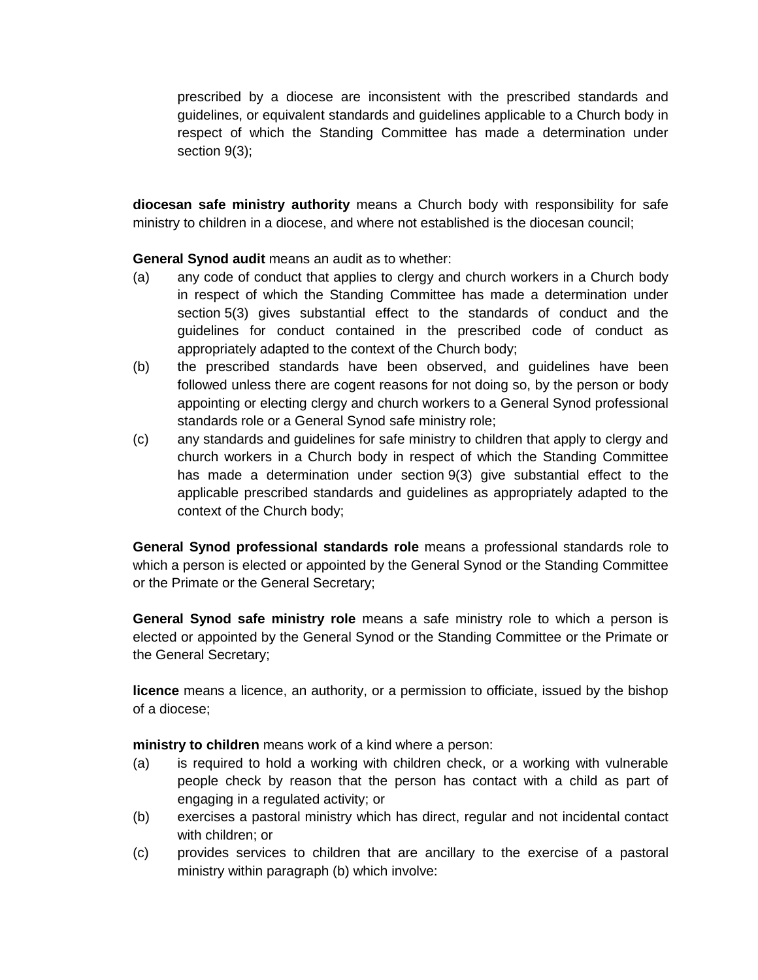prescribed by a diocese are inconsistent with the prescribed standards and guidelines, or equivalent standards and guidelines applicable to a Church body in respect of which the Standing Committee has made a determination under section 9(3);

**diocesan safe ministry authority** means a Church body with responsibility for safe ministry to children in a diocese, and where not established is the diocesan council;

**General Synod audit** means an audit as to whether:

- (a) any code of conduct that applies to clergy and church workers in a Church body in respect of which the Standing Committee has made a determination under section 5(3) gives substantial effect to the standards of conduct and the guidelines for conduct contained in the prescribed code of conduct as appropriately adapted to the context of the Church body;
- (b) the prescribed standards have been observed, and guidelines have been followed unless there are cogent reasons for not doing so, by the person or body appointing or electing clergy and church workers to a General Synod professional standards role or a General Synod safe ministry role;
- (c) any standards and guidelines for safe ministry to children that apply to clergy and church workers in a Church body in respect of which the Standing Committee has made a determination under section 9(3) give substantial effect to the applicable prescribed standards and guidelines as appropriately adapted to the context of the Church body;

**General Synod professional standards role** means a professional standards role to which a person is elected or appointed by the General Synod or the Standing Committee or the Primate or the General Secretary;

**General Synod safe ministry role** means a safe ministry role to which a person is elected or appointed by the General Synod or the Standing Committee or the Primate or the General Secretary;

**licence** means a licence, an authority, or a permission to officiate, issued by the bishop of a diocese;

**ministry to children** means work of a kind where a person:

- (a) is required to hold a working with children check, or a working with vulnerable people check by reason that the person has contact with a child as part of engaging in a regulated activity; or
- (b) exercises a pastoral ministry which has direct, regular and not incidental contact with children; or
- (c) provides services to children that are ancillary to the exercise of a pastoral ministry within paragraph (b) which involve: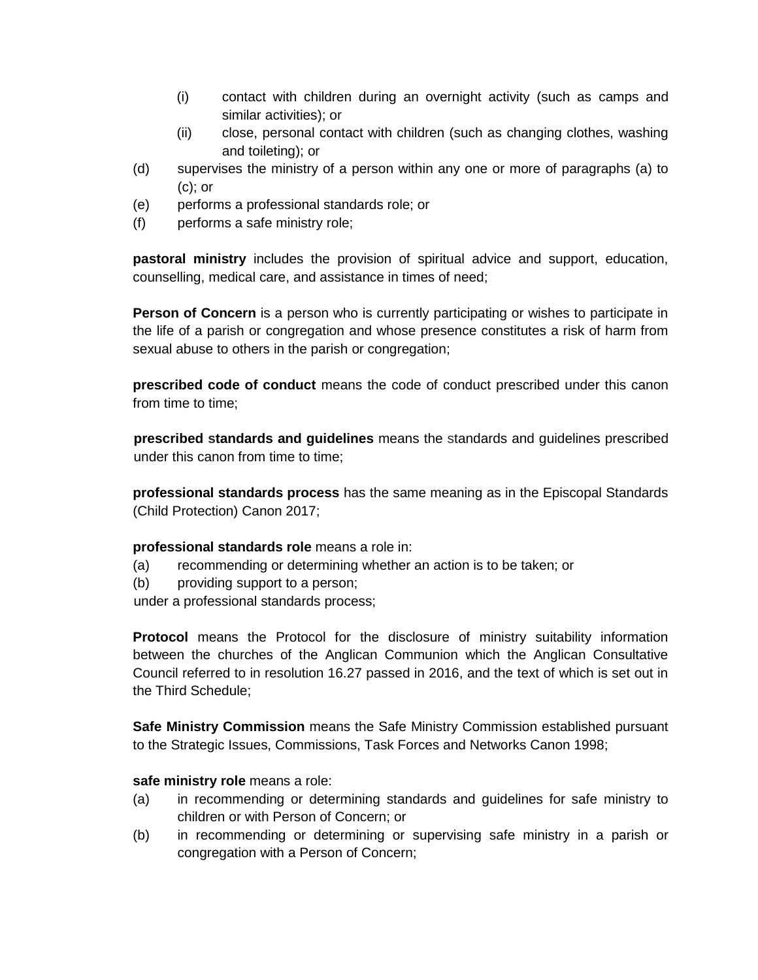- (i) contact with children during an overnight activity (such as camps and similar activities); or
- (ii) close, personal contact with children (such as changing clothes, washing and toileting); or
- (d) supervises the ministry of a person within any one or more of paragraphs (a) to (c); or
- (e) performs a professional standards role; or
- (f) performs a safe ministry role;

**pastoral ministry** includes the provision of spiritual advice and support, education, counselling, medical care, and assistance in times of need;

**Person of Concern** is a person who is currently participating or wishes to participate in the life of a parish or congregation and whose presence constitutes a risk of harm from sexual abuse to others in the parish or congregation;

**prescribed code of conduct** means the code of conduct prescribed under this canon from time to time;

**prescribed standards and guidelines** means the standards and guidelines prescribed under this canon from time to time;

**professional standards process** has the same meaning as in the Episcopal Standards (Child Protection) Canon 2017;

# **professional standards role** means a role in:

- (a) recommending or determining whether an action is to be taken; or
- (b) providing support to a person;

under a professional standards process;

**Protocol** means the Protocol for the disclosure of ministry suitability information between the churches of the Anglican Communion which the Anglican Consultative Council referred to in resolution 16.27 passed in 2016, and the text of which is set out in the Third Schedule;

**Safe Ministry Commission** means the Safe Ministry Commission established pursuant to the Strategic Issues, Commissions, Task Forces and Networks Canon 1998;

### **safe ministry role** means a role:

- (a) in recommending or determining standards and guidelines for safe ministry to children or with Person of Concern; or
- (b) in recommending or determining or supervising safe ministry in a parish or congregation with a Person of Concern;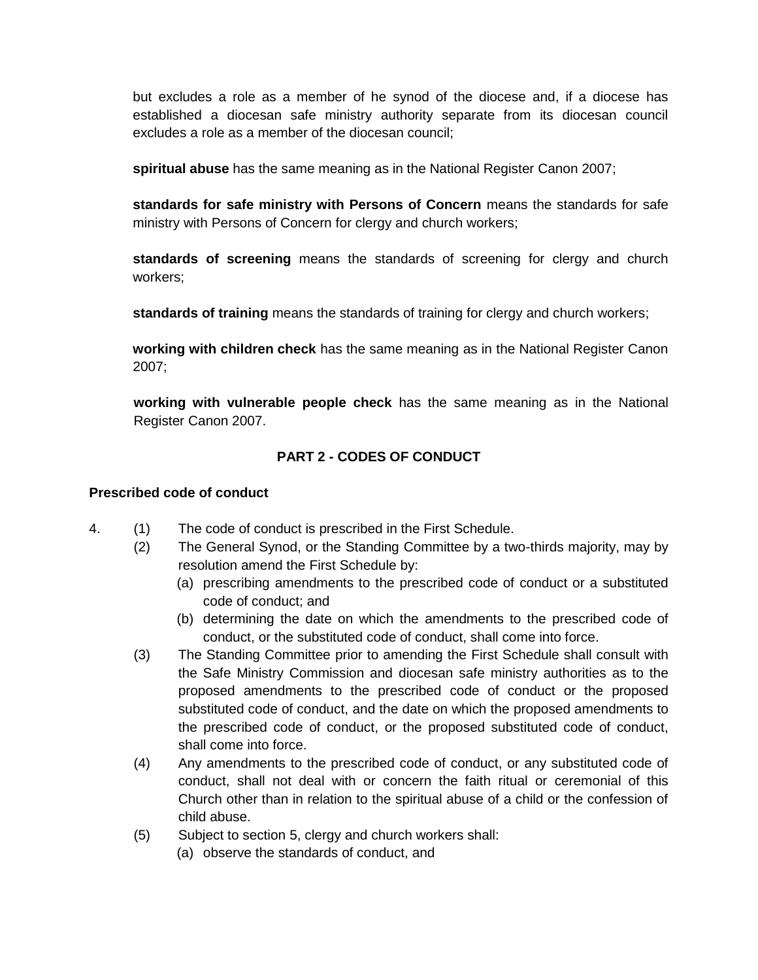but excludes a role as a member of he synod of the diocese and, if a diocese has established a diocesan safe ministry authority separate from its diocesan council excludes a role as a member of the diocesan council;

**spiritual abuse** has the same meaning as in the National Register Canon 2007;

**standards for safe ministry with Persons of Concern** means the standards for safe ministry with Persons of Concern for clergy and church workers;

**standards of screening** means the standards of screening for clergy and church workers;

**standards of training** means the standards of training for clergy and church workers;

**working with children check** has the same meaning as in the National Register Canon 2007;

**working with vulnerable people check** has the same meaning as in the National Register Canon 2007.

# **PART 2 - CODES OF CONDUCT**

## **Prescribed code of conduct**

- 4. (1) The code of conduct is prescribed in the First Schedule.
	- (2) The General Synod, or the Standing Committee by a two-thirds majority, may by resolution amend the First Schedule by:
		- (a) prescribing amendments to the prescribed code of conduct or a substituted code of conduct; and
		- (b) determining the date on which the amendments to the prescribed code of conduct, or the substituted code of conduct, shall come into force.
		- (3) The Standing Committee prior to amending the First Schedule shall consult with the Safe Ministry Commission and diocesan safe ministry authorities as to the proposed amendments to the prescribed code of conduct or the proposed substituted code of conduct, and the date on which the proposed amendments to the prescribed code of conduct, or the proposed substituted code of conduct, shall come into force.
		- (4) Any amendments to the prescribed code of conduct, or any substituted code of conduct, shall not deal with or concern the faith ritual or ceremonial of this Church other than in relation to the spiritual abuse of a child or the confession of child abuse.
		- (5) Subject to section 5, clergy and church workers shall:
			- (a) observe the standards of conduct, and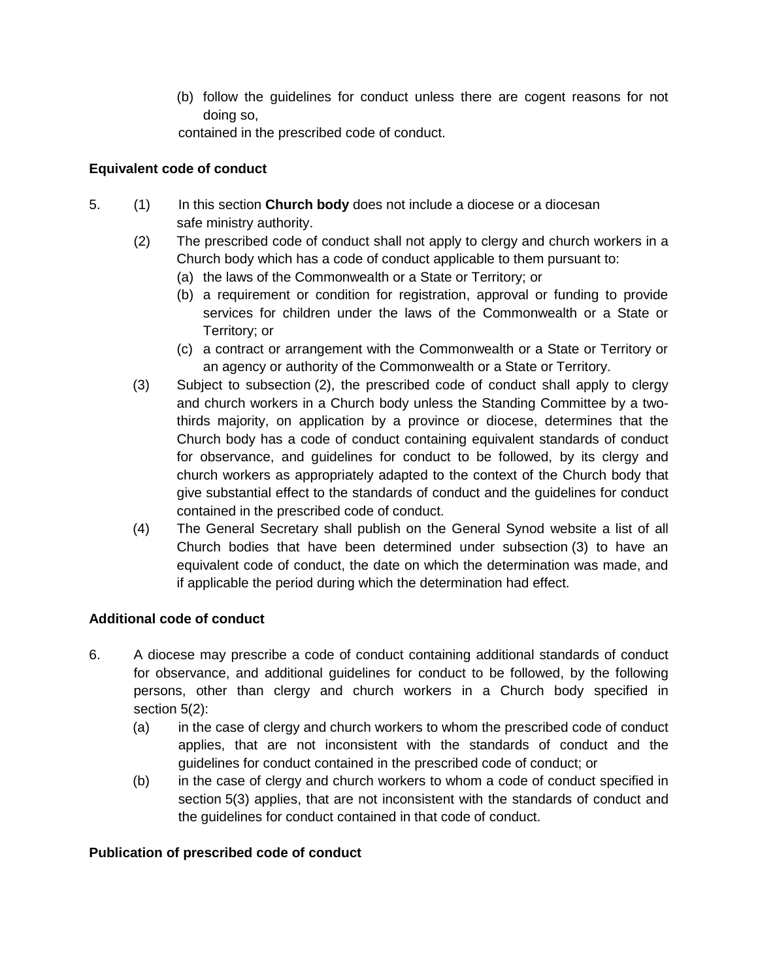(b) follow the guidelines for conduct unless there are cogent reasons for not doing so,

contained in the prescribed code of conduct.

# **Equivalent code of conduct**

- 5. (1) In this section **Church body** does not include a diocese or a diocesan safe ministry authority.
	- (2) The prescribed code of conduct shall not apply to clergy and church workers in a Church body which has a code of conduct applicable to them pursuant to:
		- (a) the laws of the Commonwealth or a State or Territory; or
		- (b) a requirement or condition for registration, approval or funding to provide services for children under the laws of the Commonwealth or a State or Territory; or
		- (c) a contract or arrangement with the Commonwealth or a State or Territory or an agency or authority of the Commonwealth or a State or Territory.
	- (3) Subject to subsection (2), the prescribed code of conduct shall apply to clergy and church workers in a Church body unless the Standing Committee by a twothirds majority, on application by a province or diocese, determines that the Church body has a code of conduct containing equivalent standards of conduct for observance, and guidelines for conduct to be followed, by its clergy and church workers as appropriately adapted to the context of the Church body that give substantial effect to the standards of conduct and the guidelines for conduct contained in the prescribed code of conduct.
	- (4) The General Secretary shall publish on the General Synod website a list of all Church bodies that have been determined under subsection (3) to have an equivalent code of conduct, the date on which the determination was made, and if applicable the period during which the determination had effect.

# **Additional code of conduct**

- 6. A diocese may prescribe a code of conduct containing additional standards of conduct for observance, and additional guidelines for conduct to be followed, by the following persons, other than clergy and church workers in a Church body specified in section 5(2):
	- (a) in the case of clergy and church workers to whom the prescribed code of conduct applies, that are not inconsistent with the standards of conduct and the guidelines for conduct contained in the prescribed code of conduct; or
	- (b) in the case of clergy and church workers to whom a code of conduct specified in section 5(3) applies, that are not inconsistent with the standards of conduct and the guidelines for conduct contained in that code of conduct.

# **Publication of prescribed code of conduct**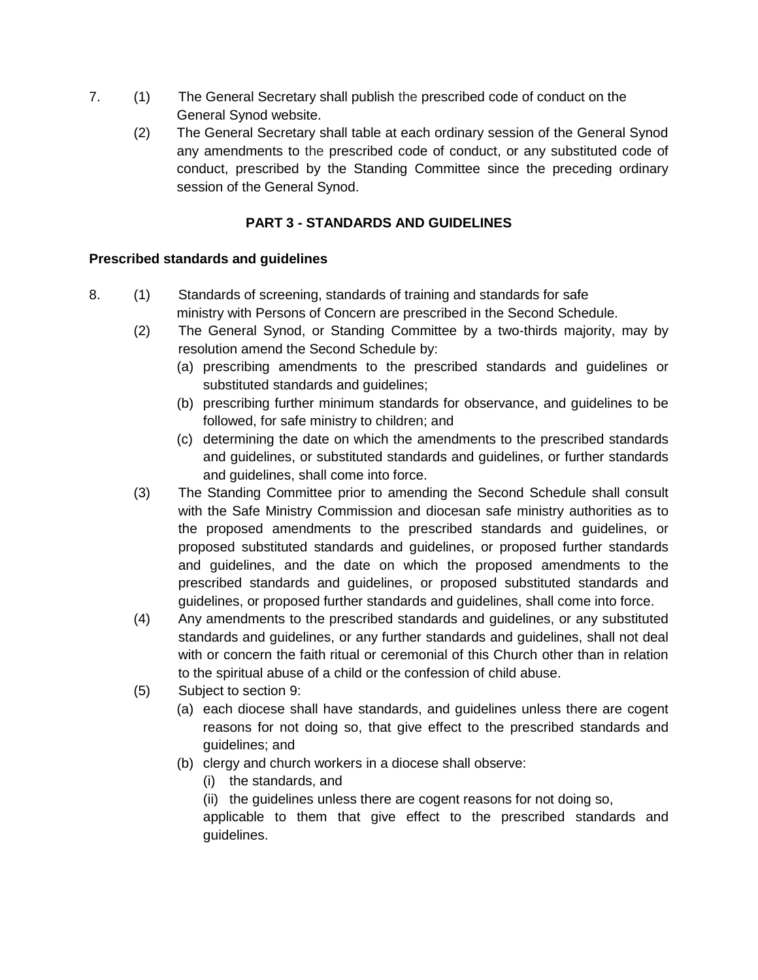- 7. (1) The General Secretary shall publish the prescribed code of conduct on the General Synod website.
	- (2) The General Secretary shall table at each ordinary session of the General Synod any amendments to the prescribed code of conduct, or any substituted code of conduct, prescribed by the Standing Committee since the preceding ordinary session of the General Synod.

# **PART 3 - STANDARDS AND GUIDELINES**

# **Prescribed standards and guidelines**

- 8. (1) Standards of screening, standards of training and standards for safe ministry with Persons of Concern are prescribed in the Second Schedule.
	- (2) The General Synod, or Standing Committee by a two-thirds majority, may by resolution amend the Second Schedule by:
		- (a) prescribing amendments to the prescribed standards and guidelines or substituted standards and guidelines;
		- (b) prescribing further minimum standards for observance, and guidelines to be followed, for safe ministry to children; and
		- (c) determining the date on which the amendments to the prescribed standards and guidelines, or substituted standards and guidelines, or further standards and guidelines, shall come into force.
	- (3) The Standing Committee prior to amending the Second Schedule shall consult with the Safe Ministry Commission and diocesan safe ministry authorities as to the proposed amendments to the prescribed standards and guidelines, or proposed substituted standards and guidelines, or proposed further standards and guidelines, and the date on which the proposed amendments to the prescribed standards and guidelines, or proposed substituted standards and guidelines, or proposed further standards and guidelines, shall come into force.
	- (4) Any amendments to the prescribed standards and guidelines, or any substituted standards and guidelines, or any further standards and guidelines, shall not deal with or concern the faith ritual or ceremonial of this Church other than in relation to the spiritual abuse of a child or the confession of child abuse.
	- (5) Subject to section 9:
		- (a) each diocese shall have standards, and guidelines unless there are cogent reasons for not doing so, that give effect to the prescribed standards and guidelines; and
		- (b) clergy and church workers in a diocese shall observe:
			- (i) the standards, and
			- (ii) the guidelines unless there are cogent reasons for not doing so,

applicable to them that give effect to the prescribed standards and guidelines.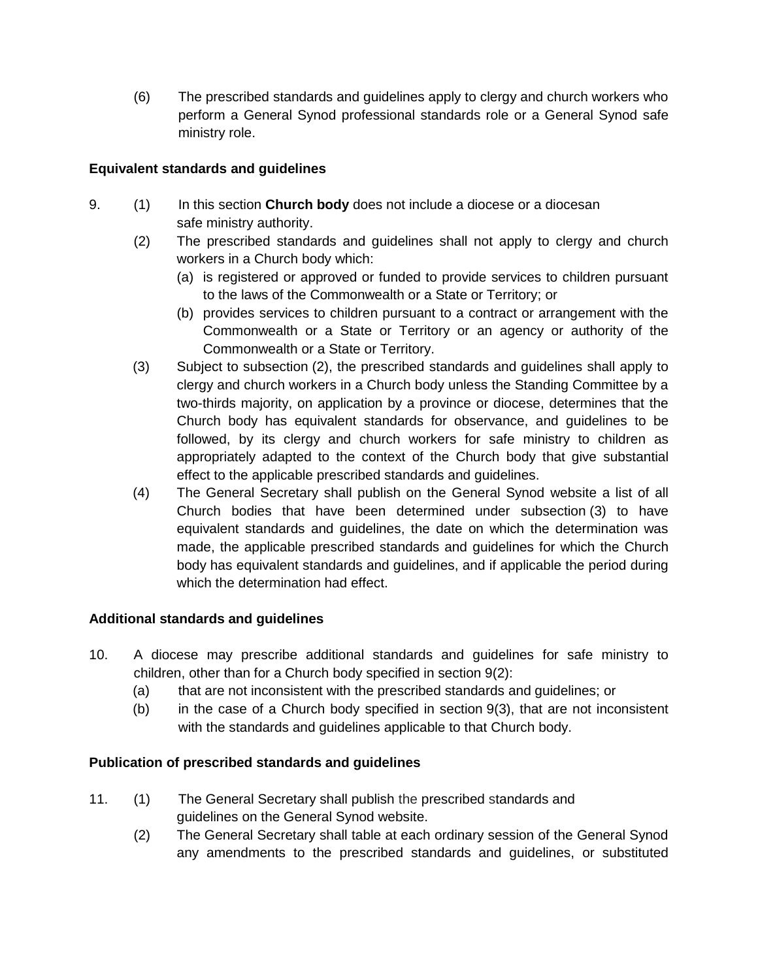(6) The prescribed standards and guidelines apply to clergy and church workers who perform a General Synod professional standards role or a General Synod safe ministry role.

## **Equivalent standards and guidelines**

- 9. (1) In this section **Church body** does not include a diocese or a diocesan safe ministry authority.
	- (2) The prescribed standards and guidelines shall not apply to clergy and church workers in a Church body which:
		- (a) is registered or approved or funded to provide services to children pursuant to the laws of the Commonwealth or a State or Territory; or
		- (b) provides services to children pursuant to a contract or arrangement with the Commonwealth or a State or Territory or an agency or authority of the Commonwealth or a State or Territory.
	- (3) Subject to subsection (2), the prescribed standards and guidelines shall apply to clergy and church workers in a Church body unless the Standing Committee by a two-thirds majority, on application by a province or diocese, determines that the Church body has equivalent standards for observance, and guidelines to be followed, by its clergy and church workers for safe ministry to children as appropriately adapted to the context of the Church body that give substantial effect to the applicable prescribed standards and guidelines.
	- (4) The General Secretary shall publish on the General Synod website a list of all Church bodies that have been determined under subsection (3) to have equivalent standards and guidelines, the date on which the determination was made, the applicable prescribed standards and guidelines for which the Church body has equivalent standards and guidelines, and if applicable the period during which the determination had effect.

### **Additional standards and guidelines**

- 10. A diocese may prescribe additional standards and guidelines for safe ministry to children, other than for a Church body specified in section 9(2):
	- (a) that are not inconsistent with the prescribed standards and guidelines; or
	- (b) in the case of a Church body specified in section 9(3), that are not inconsistent with the standards and guidelines applicable to that Church body.

# **Publication of prescribed standards and guidelines**

- 11. (1) The General Secretary shall publish the prescribed standards and guidelines on the General Synod website.
	- (2) The General Secretary shall table at each ordinary session of the General Synod any amendments to the prescribed standards and guidelines, or substituted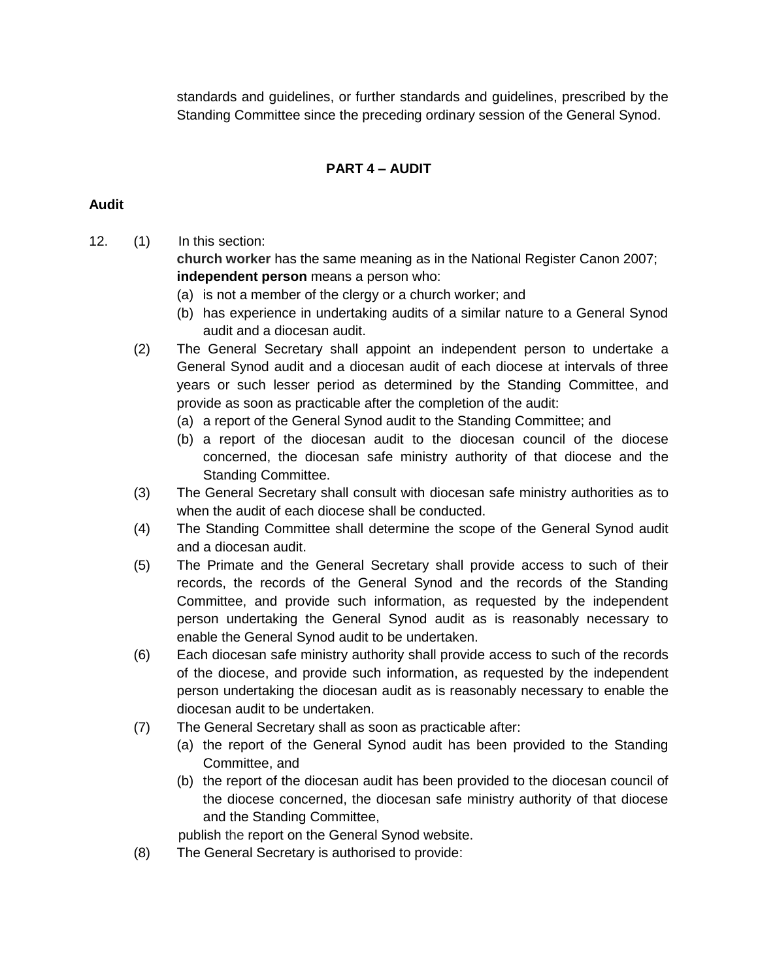standards and guidelines, or further standards and guidelines, prescribed by the Standing Committee since the preceding ordinary session of the General Synod.

# **PART 4 – AUDIT**

### **Audit**

12. (1) In this section:

**church worker** has the same meaning as in the National Register Canon 2007; **independent person** means a person who:

- (a) is not a member of the clergy or a church worker; and
- (b) has experience in undertaking audits of a similar nature to a General Synod audit and a diocesan audit.
- (2) The General Secretary shall appoint an independent person to undertake a General Synod audit and a diocesan audit of each diocese at intervals of three years or such lesser period as determined by the Standing Committee, and provide as soon as practicable after the completion of the audit:
	- (a) a report of the General Synod audit to the Standing Committee; and
	- (b) a report of the diocesan audit to the diocesan council of the diocese concerned, the diocesan safe ministry authority of that diocese and the Standing Committee.
- (3) The General Secretary shall consult with diocesan safe ministry authorities as to when the audit of each diocese shall be conducted.
- (4) The Standing Committee shall determine the scope of the General Synod audit and a diocesan audit.
- (5) The Primate and the General Secretary shall provide access to such of their records, the records of the General Synod and the records of the Standing Committee, and provide such information, as requested by the independent person undertaking the General Synod audit as is reasonably necessary to enable the General Synod audit to be undertaken.
- (6) Each diocesan safe ministry authority shall provide access to such of the records of the diocese, and provide such information, as requested by the independent person undertaking the diocesan audit as is reasonably necessary to enable the diocesan audit to be undertaken.
- (7) The General Secretary shall as soon as practicable after:
	- (a) the report of the General Synod audit has been provided to the Standing Committee, and
	- (b) the report of the diocesan audit has been provided to the diocesan council of the diocese concerned, the diocesan safe ministry authority of that diocese and the Standing Committee,
	- publish the report on the General Synod website.
- (8) The General Secretary is authorised to provide: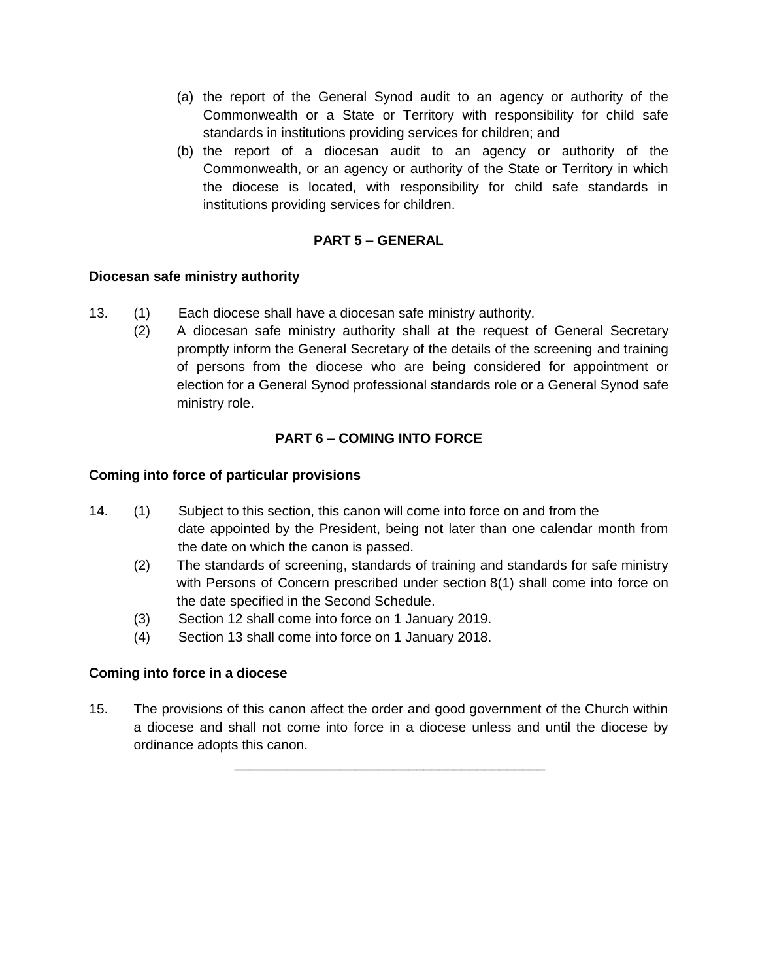- (a) the report of the General Synod audit to an agency or authority of the Commonwealth or a State or Territory with responsibility for child safe standards in institutions providing services for children; and
- (b) the report of a diocesan audit to an agency or authority of the Commonwealth, or an agency or authority of the State or Territory in which the diocese is located, with responsibility for child safe standards in institutions providing services for children.

## **PART 5 – GENERAL**

### **Diocesan safe ministry authority**

- 13. (1) Each diocese shall have a diocesan safe ministry authority.
	- (2) A diocesan safe ministry authority shall at the request of General Secretary promptly inform the General Secretary of the details of the screening and training of persons from the diocese who are being considered for appointment or election for a General Synod professional standards role or a General Synod safe ministry role.

### **PART 6 – COMING INTO FORCE**

#### **Coming into force of particular provisions**

- 14. (1) Subject to this section, this canon will come into force on and from the date appointed by the President, being not later than one calendar month from the date on which the canon is passed.
	- (2) The standards of screening, standards of training and standards for safe ministry with Persons of Concern prescribed under section 8(1) shall come into force on the date specified in the Second Schedule.
	- (3) Section 12 shall come into force on 1 January 2019.
	- (4) Section 13 shall come into force on 1 January 2018.

### **Coming into force in a diocese**

15. The provisions of this canon affect the order and good government of the Church within a diocese and shall not come into force in a diocese unless and until the diocese by ordinance adopts this canon.

\_\_\_\_\_\_\_\_\_\_\_\_\_\_\_\_\_\_\_\_\_\_\_\_\_\_\_\_\_\_\_\_\_\_\_\_\_\_\_\_\_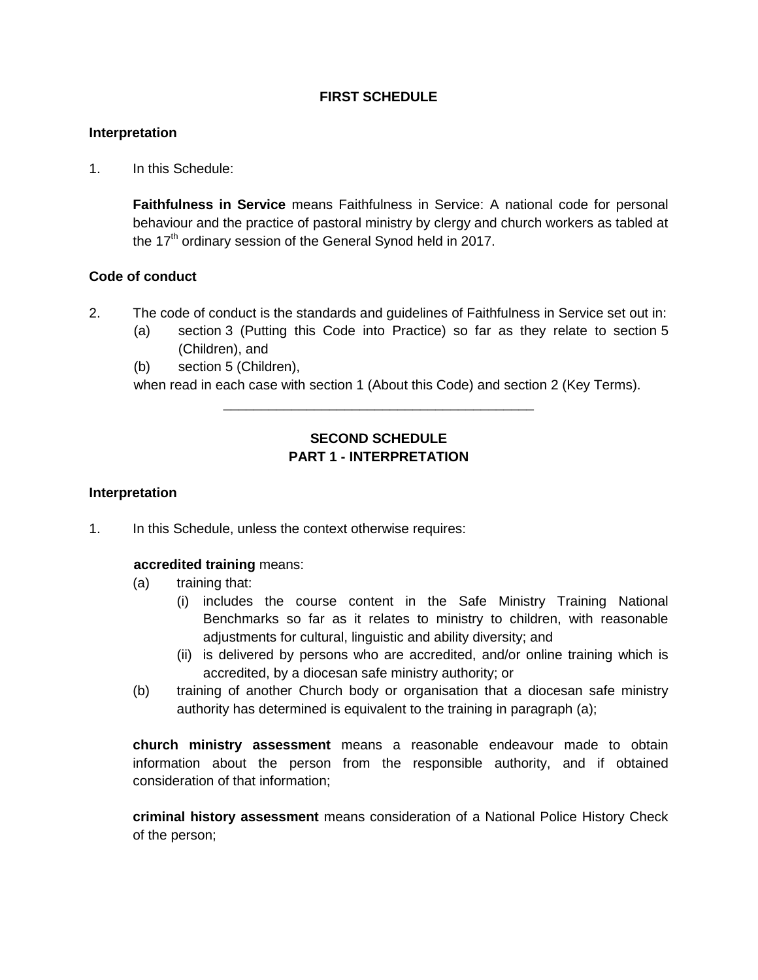### **FIRST SCHEDULE**

### **Interpretation**

1. In this Schedule:

**Faithfulness in Service** means Faithfulness in Service: A national code for personal behaviour and the practice of pastoral ministry by clergy and church workers as tabled at the  $17<sup>th</sup>$  ordinary session of the General Synod held in 2017.

#### **Code of conduct**

- 2. The code of conduct is the standards and guidelines of Faithfulness in Service set out in:
	- (a) section 3 (Putting this Code into Practice) so far as they relate to section 5 (Children), and
	- (b) section 5 (Children),

when read in each case with section 1 (About this Code) and section 2 (Key Terms).

## **SECOND SCHEDULE PART 1 - INTERPRETATION**

\_\_\_\_\_\_\_\_\_\_\_\_\_\_\_\_\_\_\_\_\_\_\_\_\_\_\_\_\_\_\_\_\_\_\_\_\_\_\_\_\_

#### **Interpretation**

1. In this Schedule, unless the context otherwise requires:

#### **accredited training** means:

- (a) training that:
	- (i) includes the course content in the Safe Ministry Training National Benchmarks so far as it relates to ministry to children, with reasonable adjustments for cultural, linguistic and ability diversity; and
	- (ii) is delivered by persons who are accredited, and/or online training which is accredited, by a diocesan safe ministry authority; or
- (b) training of another Church body or organisation that a diocesan safe ministry authority has determined is equivalent to the training in paragraph (a);

**church ministry assessment** means a reasonable endeavour made to obtain information about the person from the responsible authority, and if obtained consideration of that information;

**criminal history assessment** means consideration of a National Police History Check of the person;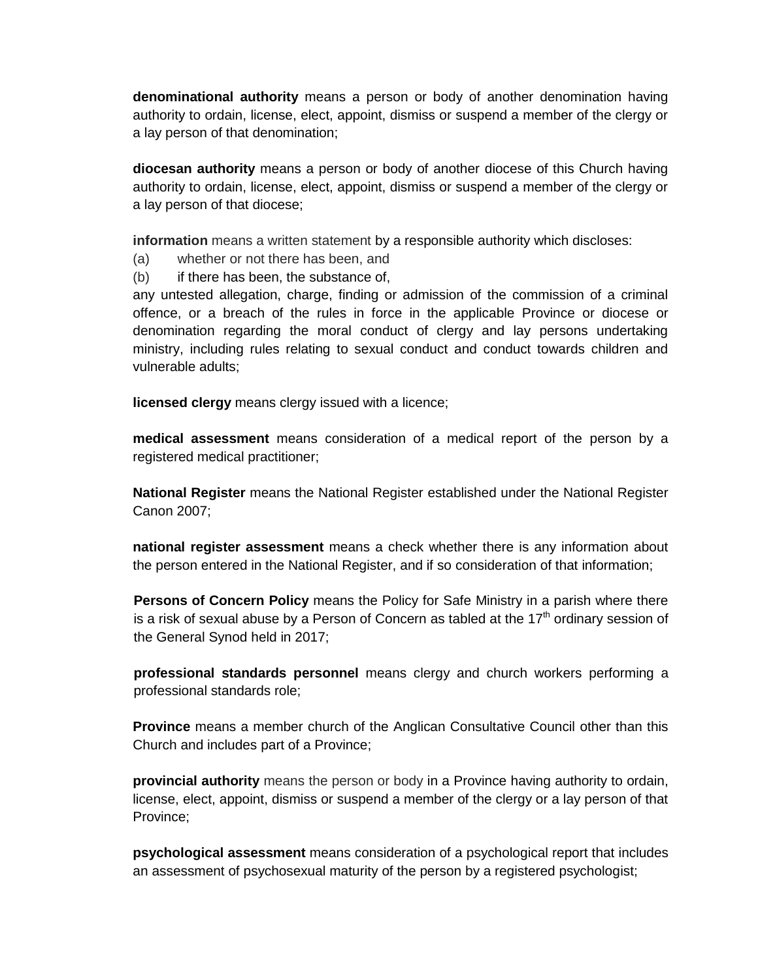**denominational authority** means a person or body of another denomination having authority to ordain, license, elect, appoint, dismiss or suspend a member of the clergy or a lay person of that denomination;

**diocesan authority** means a person or body of another diocese of this Church having authority to ordain, license, elect, appoint, dismiss or suspend a member of the clergy or a lay person of that diocese;

**information** means a written statement by a responsible authority which discloses:

- (a) whether or not there has been, and
- (b) if there has been, the substance of,

any untested allegation, charge, finding or admission of the commission of a criminal offence, or a breach of the rules in force in the applicable Province or diocese or denomination regarding the moral conduct of clergy and lay persons undertaking ministry, including rules relating to sexual conduct and conduct towards children and vulnerable adults;

**licensed clergy** means clergy issued with a licence;

**medical assessment** means consideration of a medical report of the person by a registered medical practitioner;

**National Register** means the National Register established under the National Register Canon 2007;

**national register assessment** means a check whether there is any information about the person entered in the National Register, and if so consideration of that information;

**Persons of Concern Policy** means the Policy for Safe Ministry in a parish where there is a risk of sexual abuse by a Person of Concern as tabled at the  $17<sup>th</sup>$  ordinary session of the General Synod held in 2017;

**professional standards personnel** means clergy and church workers performing a professional standards role;

**Province** means a member church of the Anglican Consultative Council other than this Church and includes part of a Province;

**provincial authority** means the person or body in a Province having authority to ordain, license, elect, appoint, dismiss or suspend a member of the clergy or a lay person of that Province;

**psychological assessment** means consideration of a psychological report that includes an assessment of psychosexual maturity of the person by a registered psychologist;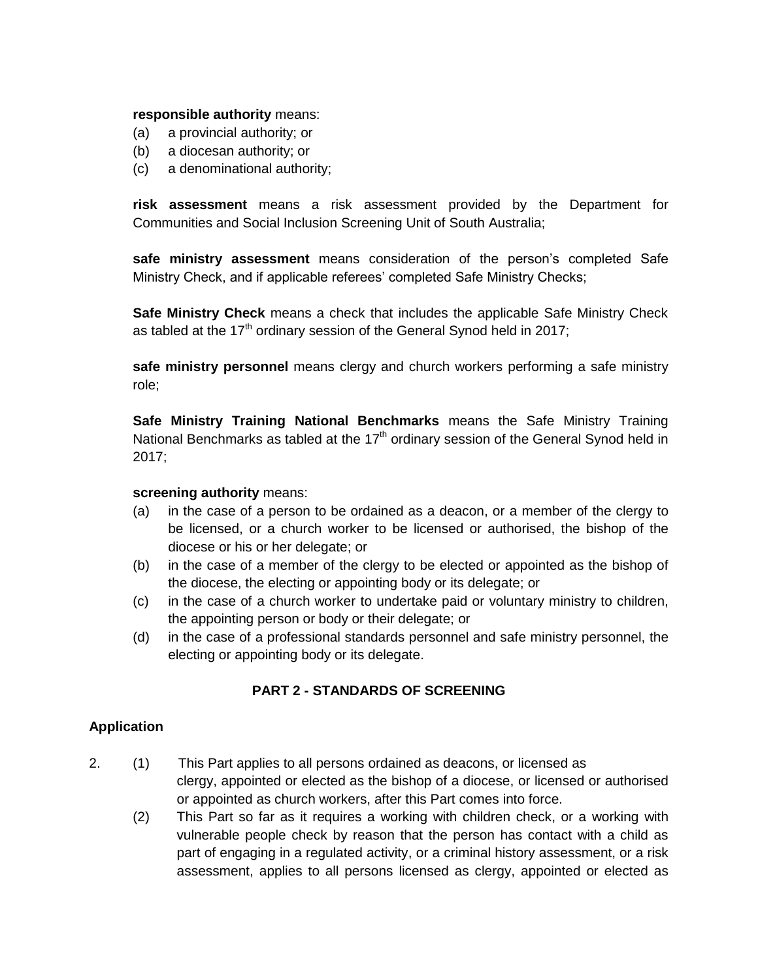#### **responsible authority** means:

- (a) a provincial authority; or
- (b) a diocesan authority; or
- (c) a denominational authority;

**risk assessment** means a risk assessment provided by the Department for Communities and Social Inclusion Screening Unit of South Australia;

**safe ministry assessment** means consideration of the person's completed Safe Ministry Check, and if applicable referees' completed Safe Ministry Checks;

**Safe Ministry Check** means a check that includes the applicable Safe Ministry Check as tabled at the 17<sup>th</sup> ordinary session of the General Synod held in 2017;

**safe ministry personnel** means clergy and church workers performing a safe ministry role;

**Safe Ministry Training National Benchmarks** means the Safe Ministry Training National Benchmarks as tabled at the  $17<sup>th</sup>$  ordinary session of the General Synod held in 2017;

#### **screening authority** means:

- (a) in the case of a person to be ordained as a deacon, or a member of the clergy to be licensed, or a church worker to be licensed or authorised, the bishop of the diocese or his or her delegate; or
- (b) in the case of a member of the clergy to be elected or appointed as the bishop of the diocese, the electing or appointing body or its delegate; or
- (c) in the case of a church worker to undertake paid or voluntary ministry to children, the appointing person or body or their delegate; or
- (d) in the case of a professional standards personnel and safe ministry personnel, the electing or appointing body or its delegate.

### **PART 2 - STANDARDS OF SCREENING**

### **Application**

- 2. (1) This Part applies to all persons ordained as deacons, or licensed as clergy, appointed or elected as the bishop of a diocese, or licensed or authorised or appointed as church workers, after this Part comes into force.
	- (2) This Part so far as it requires a working with children check, or a working with vulnerable people check by reason that the person has contact with a child as part of engaging in a regulated activity, or a criminal history assessment, or a risk assessment, applies to all persons licensed as clergy, appointed or elected as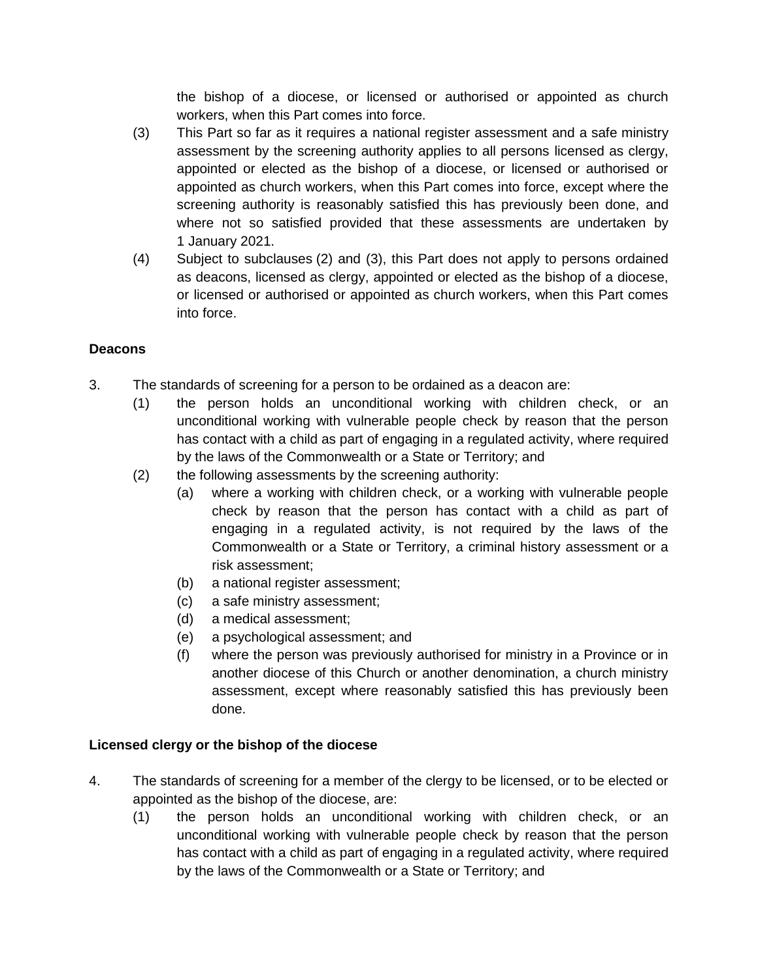the bishop of a diocese, or licensed or authorised or appointed as church workers, when this Part comes into force.

- (3) This Part so far as it requires a national register assessment and a safe ministry assessment by the screening authority applies to all persons licensed as clergy, appointed or elected as the bishop of a diocese, or licensed or authorised or appointed as church workers, when this Part comes into force, except where the screening authority is reasonably satisfied this has previously been done, and where not so satisfied provided that these assessments are undertaken by 1 January 2021.
- (4) Subject to subclauses (2) and (3), this Part does not apply to persons ordained as deacons, licensed as clergy, appointed or elected as the bishop of a diocese, or licensed or authorised or appointed as church workers, when this Part comes into force.

# **Deacons**

- 3. The standards of screening for a person to be ordained as a deacon are:
	- (1) the person holds an unconditional working with children check, or an unconditional working with vulnerable people check by reason that the person has contact with a child as part of engaging in a regulated activity, where required by the laws of the Commonwealth or a State or Territory; and
	- (2) the following assessments by the screening authority:
		- (a) where a working with children check, or a working with vulnerable people check by reason that the person has contact with a child as part of engaging in a regulated activity, is not required by the laws of the Commonwealth or a State or Territory, a criminal history assessment or a risk assessment;
		- (b) a national register assessment;
		- (c) a safe ministry assessment;
		- (d) a medical assessment;
		- (e) a psychological assessment; and
		- (f) where the person was previously authorised for ministry in a Province or in another diocese of this Church or another denomination, a church ministry assessment, except where reasonably satisfied this has previously been done.

# **Licensed clergy or the bishop of the diocese**

- 4. The standards of screening for a member of the clergy to be licensed, or to be elected or appointed as the bishop of the diocese, are:
	- (1) the person holds an unconditional working with children check, or an unconditional working with vulnerable people check by reason that the person has contact with a child as part of engaging in a regulated activity, where required by the laws of the Commonwealth or a State or Territory; and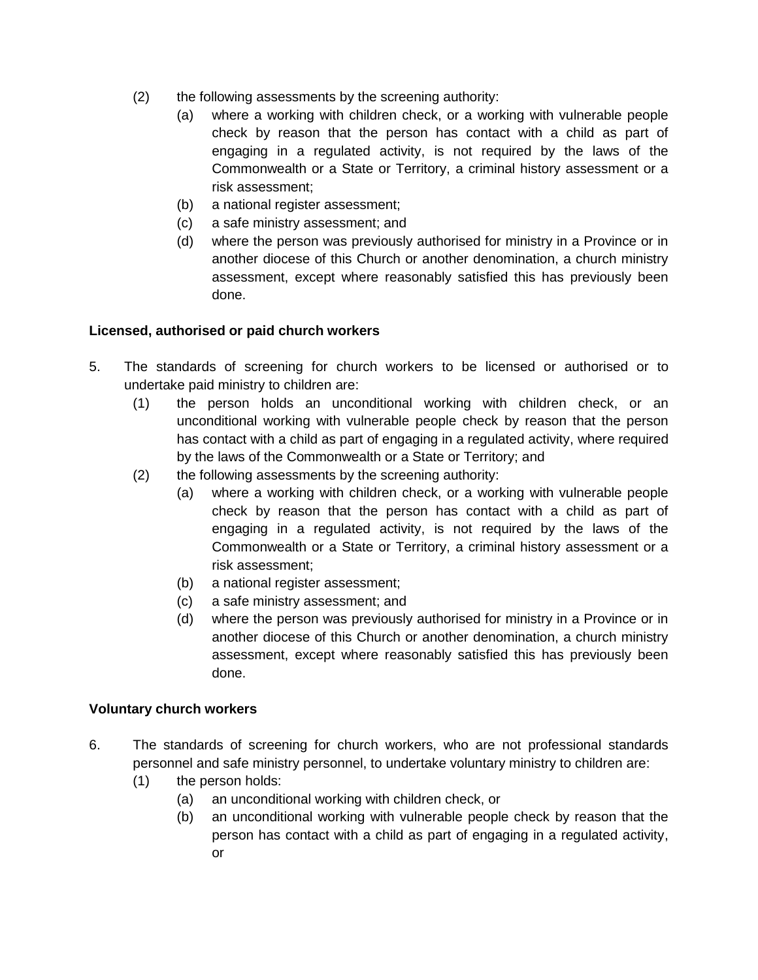- (2) the following assessments by the screening authority:
	- (a) where a working with children check, or a working with vulnerable people check by reason that the person has contact with a child as part of engaging in a regulated activity, is not required by the laws of the Commonwealth or a State or Territory, a criminal history assessment or a risk assessment;
	- (b) a national register assessment;
	- (c) a safe ministry assessment; and
	- (d) where the person was previously authorised for ministry in a Province or in another diocese of this Church or another denomination, a church ministry assessment, except where reasonably satisfied this has previously been done.

# **Licensed, authorised or paid church workers**

- 5. The standards of screening for church workers to be licensed or authorised or to undertake paid ministry to children are:
	- (1) the person holds an unconditional working with children check, or an unconditional working with vulnerable people check by reason that the person has contact with a child as part of engaging in a regulated activity, where required by the laws of the Commonwealth or a State or Territory; and
	- (2) the following assessments by the screening authority:
		- (a) where a working with children check, or a working with vulnerable people check by reason that the person has contact with a child as part of engaging in a regulated activity, is not required by the laws of the Commonwealth or a State or Territory, a criminal history assessment or a risk assessment;
		- (b) a national register assessment;
		- (c) a safe ministry assessment; and
		- (d) where the person was previously authorised for ministry in a Province or in another diocese of this Church or another denomination, a church ministry assessment, except where reasonably satisfied this has previously been done.

### **Voluntary church workers**

- 6. The standards of screening for church workers, who are not professional standards personnel and safe ministry personnel, to undertake voluntary ministry to children are:
	- (1) the person holds:
		- (a) an unconditional working with children check, or
		- (b) an unconditional working with vulnerable people check by reason that the person has contact with a child as part of engaging in a regulated activity, or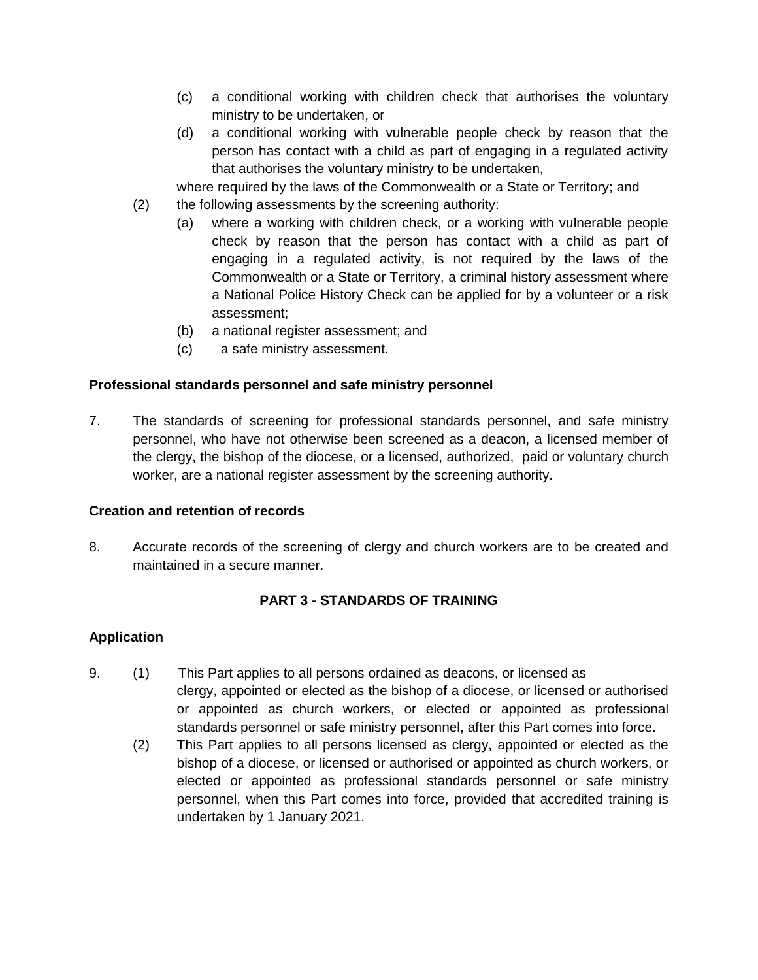- (c) a conditional working with children check that authorises the voluntary ministry to be undertaken, or
- (d) a conditional working with vulnerable people check by reason that the person has contact with a child as part of engaging in a regulated activity that authorises the voluntary ministry to be undertaken,
- where required by the laws of the Commonwealth or a State or Territory; and
- (2) the following assessments by the screening authority:
	- (a) where a working with children check, or a working with vulnerable people check by reason that the person has contact with a child as part of engaging in a regulated activity, is not required by the laws of the Commonwealth or a State or Territory, a criminal history assessment where a National Police History Check can be applied for by a volunteer or a risk assessment;
		- (b) a national register assessment; and
		- (c) a safe ministry assessment.

### **Professional standards personnel and safe ministry personnel**

7. The standards of screening for professional standards personnel, and safe ministry personnel, who have not otherwise been screened as a deacon, a licensed member of the clergy, the bishop of the diocese, or a licensed, authorized, paid or voluntary church worker, are a national register assessment by the screening authority.

### **Creation and retention of records**

8. Accurate records of the screening of clergy and church workers are to be created and maintained in a secure manner.

# **PART 3 - STANDARDS OF TRAINING**

### **Application**

- 9. (1) This Part applies to all persons ordained as deacons, or licensed as clergy, appointed or elected as the bishop of a diocese, or licensed or authorised or appointed as church workers, or elected or appointed as professional standards personnel or safe ministry personnel, after this Part comes into force.
	- (2) This Part applies to all persons licensed as clergy, appointed or elected as the bishop of a diocese, or licensed or authorised or appointed as church workers, or elected or appointed as professional standards personnel or safe ministry personnel, when this Part comes into force, provided that accredited training is undertaken by 1 January 2021.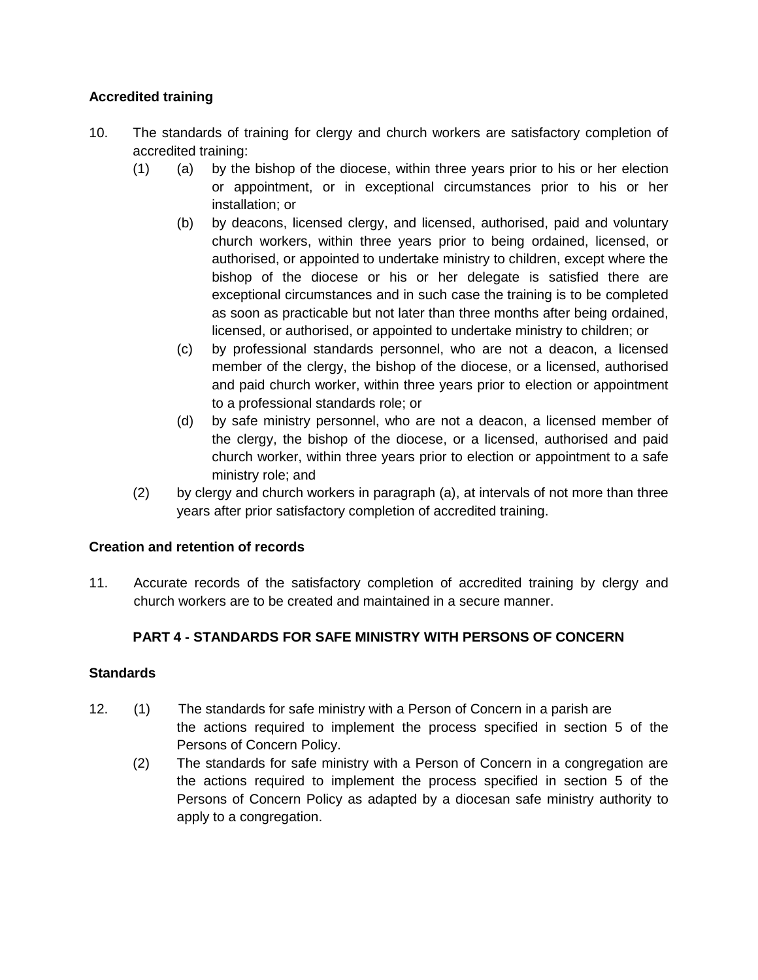# **Accredited training**

- 10. The standards of training for clergy and church workers are satisfactory completion of accredited training:
	- (1) (a) by the bishop of the diocese, within three years prior to his or her election or appointment, or in exceptional circumstances prior to his or her installation; or
		- (b) by deacons, licensed clergy, and licensed, authorised, paid and voluntary church workers, within three years prior to being ordained, licensed, or authorised, or appointed to undertake ministry to children, except where the bishop of the diocese or his or her delegate is satisfied there are exceptional circumstances and in such case the training is to be completed as soon as practicable but not later than three months after being ordained, licensed, or authorised, or appointed to undertake ministry to children; or
		- (c) by professional standards personnel, who are not a deacon, a licensed member of the clergy, the bishop of the diocese, or a licensed, authorised and paid church worker, within three years prior to election or appointment to a professional standards role; or
		- (d) by safe ministry personnel, who are not a deacon, a licensed member of the clergy, the bishop of the diocese, or a licensed, authorised and paid church worker, within three years prior to election or appointment to a safe ministry role; and
	- (2) by clergy and church workers in paragraph (a), at intervals of not more than three years after prior satisfactory completion of accredited training.

# **Creation and retention of records**

11. Accurate records of the satisfactory completion of accredited training by clergy and church workers are to be created and maintained in a secure manner.

# **PART 4 - STANDARDS FOR SAFE MINISTRY WITH PERSONS OF CONCERN**

### **Standards**

- 12. (1) The standards for safe ministry with a Person of Concern in a parish are the actions required to implement the process specified in section 5 of the Persons of Concern Policy.
	- (2) The standards for safe ministry with a Person of Concern in a congregation are the actions required to implement the process specified in section 5 of the Persons of Concern Policy as adapted by a diocesan safe ministry authority to apply to a congregation.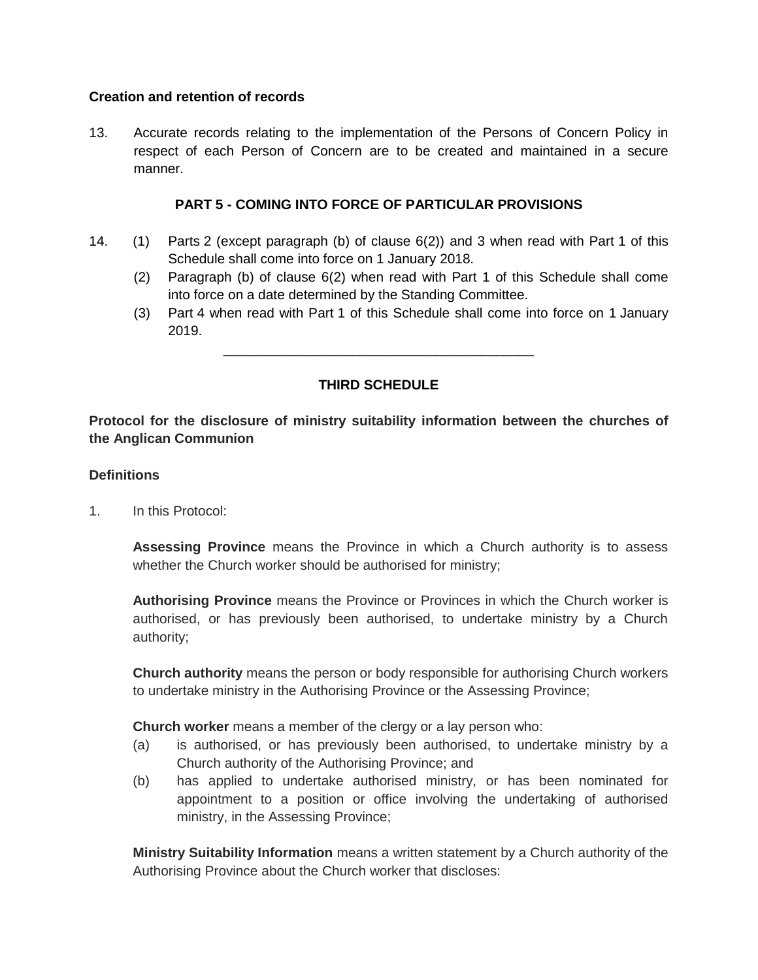### **Creation and retention of records**

13. Accurate records relating to the implementation of the Persons of Concern Policy in respect of each Person of Concern are to be created and maintained in a secure manner.

### **PART 5 - COMING INTO FORCE OF PARTICULAR PROVISIONS**

- 14. (1) Parts 2 (except paragraph (b) of clause 6(2)) and 3 when read with Part 1 of this Schedule shall come into force on 1 January 2018.
	- (2) Paragraph (b) of clause 6(2) when read with Part 1 of this Schedule shall come into force on a date determined by the Standing Committee.
	- (3) Part 4 when read with Part 1 of this Schedule shall come into force on 1 January 2019.

### **THIRD SCHEDULE**

\_\_\_\_\_\_\_\_\_\_\_\_\_\_\_\_\_\_\_\_\_\_\_\_\_\_\_\_\_\_\_\_\_\_\_\_\_\_\_\_\_

**Protocol for the disclosure of ministry suitability information between the churches of the Anglican Communion**

#### **Definitions**

1. In this Protocol:

**Assessing Province** means the Province in which a Church authority is to assess whether the Church worker should be authorised for ministry;

**Authorising Province** means the Province or Provinces in which the Church worker is authorised, or has previously been authorised, to undertake ministry by a Church authority;

**Church authority** means the person or body responsible for authorising Church workers to undertake ministry in the Authorising Province or the Assessing Province;

**Church worker** means a member of the clergy or a lay person who:

- (a) is authorised, or has previously been authorised, to undertake ministry by a Church authority of the Authorising Province; and
- (b) has applied to undertake authorised ministry, or has been nominated for appointment to a position or office involving the undertaking of authorised ministry, in the Assessing Province;

**Ministry Suitability Information** means a written statement by a Church authority of the Authorising Province about the Church worker that discloses: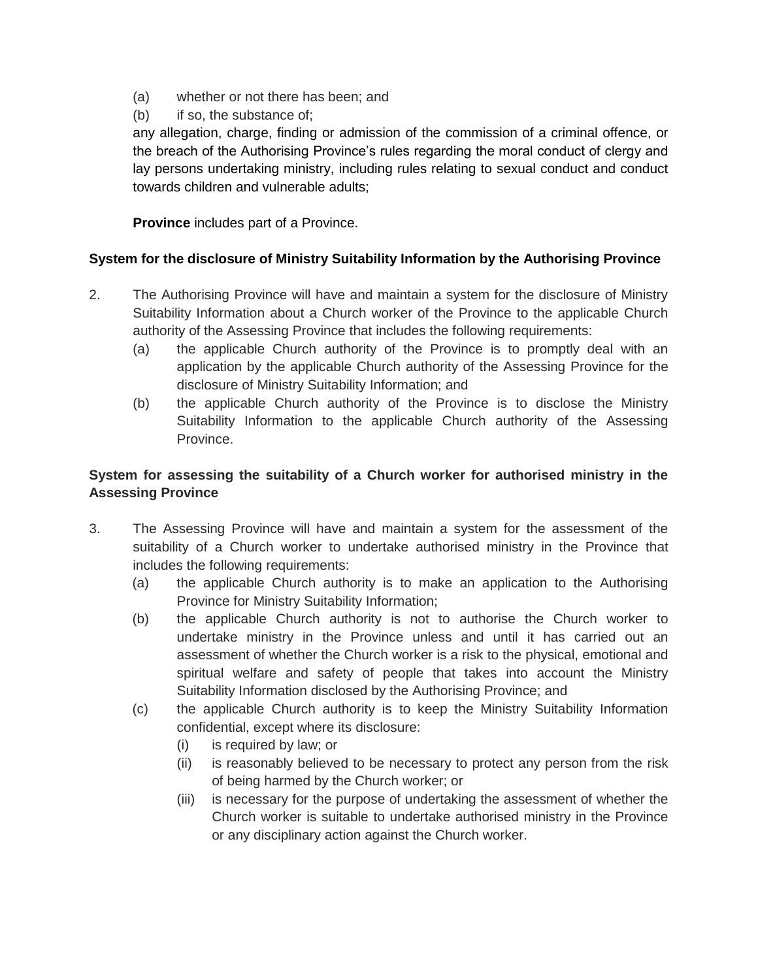- (a) whether or not there has been; and
- (b) if so, the substance of;

any allegation, charge, finding or admission of the commission of a criminal offence, or the breach of the Authorising Province's rules regarding the moral conduct of clergy and lay persons undertaking ministry, including rules relating to sexual conduct and conduct towards children and vulnerable adults;

## **Province** includes part of a Province.

# **System for the disclosure of Ministry Suitability Information by the Authorising Province**

- 2. The Authorising Province will have and maintain a system for the disclosure of Ministry Suitability Information about a Church worker of the Province to the applicable Church authority of the Assessing Province that includes the following requirements:
	- (a) the applicable Church authority of the Province is to promptly deal with an application by the applicable Church authority of the Assessing Province for the disclosure of Ministry Suitability Information; and
	- (b) the applicable Church authority of the Province is to disclose the Ministry Suitability Information to the applicable Church authority of the Assessing Province.

# **System for assessing the suitability of a Church worker for authorised ministry in the Assessing Province**

- 3. The Assessing Province will have and maintain a system for the assessment of the suitability of a Church worker to undertake authorised ministry in the Province that includes the following requirements:
	- (a) the applicable Church authority is to make an application to the Authorising Province for Ministry Suitability Information;
	- (b) the applicable Church authority is not to authorise the Church worker to undertake ministry in the Province unless and until it has carried out an assessment of whether the Church worker is a risk to the physical, emotional and spiritual welfare and safety of people that takes into account the Ministry Suitability Information disclosed by the Authorising Province; and
	- (c) the applicable Church authority is to keep the Ministry Suitability Information confidential, except where its disclosure:
		- (i) is required by law; or
		- (ii) is reasonably believed to be necessary to protect any person from the risk of being harmed by the Church worker; or
		- (iii) is necessary for the purpose of undertaking the assessment of whether the Church worker is suitable to undertake authorised ministry in the Province or any disciplinary action against the Church worker.